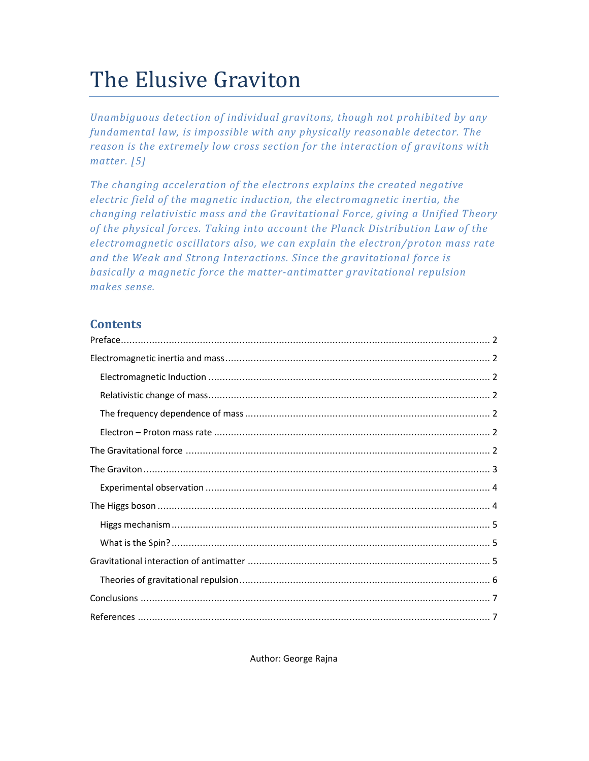# The Elusive Graviton

*Unambiguous detection of individual gravitons, though not prohibited by any fundamental law, is impossible with any physically reasonable detector. The reason is the extremely low cross section for the interaction of gravitons with matter. [5]* 

*The changing acceleration of the electrons explains the created negative electric field of the magnetic induction, the electromagnetic inertia, the changing relativistic mass and the Gravitational Force, giving a Unified Theory of the physical forces. Taking into account the Planck Distribution Law of the electromagnetic oscillators also, we can explain the electron/proton mass rate and the Weak and Strong Interactions. Since the gravitational force is basically a magnetic force the matter-antimatter gravitational repulsion makes sense.* 

# **Contents**

Author: George Rajna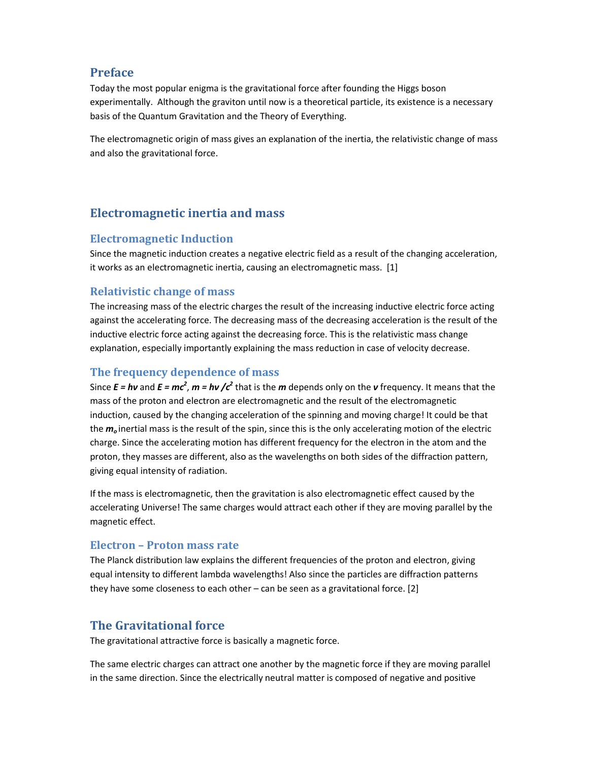# **Preface**

Today the most popular enigma is the gravitational force after founding the Higgs boson experimentally. Although the graviton until now is a theoretical particle, its existence is a necessary basis of the Quantum Gravitation and the Theory of Everything.

The electromagnetic origin of mass gives an explanation of the inertia, the relativistic change of mass and also the gravitational force.

# **Electromagnetic inertia and mass**

#### **Electromagnetic Induction**

Since the magnetic induction creates a negative electric field as a result of the changing acceleration, it works as an electromagnetic inertia, causing an electromagnetic mass. [1]

## **Relativistic change of mass**

The increasing mass of the electric charges the result of the increasing inductive electric force acting against the accelerating force. The decreasing mass of the decreasing acceleration is the result of the inductive electric force acting against the decreasing force. This is the relativistic mass change explanation, especially importantly explaining the mass reduction in case of velocity decrease.

## **The frequency dependence of mass**

Since  $E = h\nu$  and  $E = mc^2$ ,  $m = h\nu$  / $c^2$  that is the  $m$  depends only on the  $\nu$  frequency. It means that the mass of the proton and electron are electromagnetic and the result of the electromagnetic induction, caused by the changing acceleration of the spinning and moving charge! It could be that the *m<sup>o</sup>* inertial mass is the result of the spin, since this is the only accelerating motion of the electric charge. Since the accelerating motion has different frequency for the electron in the atom and the proton, they masses are different, also as the wavelengths on both sides of the diffraction pattern, giving equal intensity of radiation.

If the mass is electromagnetic, then the gravitation is also electromagnetic effect caused by the accelerating Universe! The same charges would attract each other if they are moving parallel by the magnetic effect.

#### **Electron – Proton mass rate**

The Planck distribution law explains the different frequencies of the proton and electron, giving equal intensity to different lambda wavelengths! Also since the particles are diffraction patterns they have some closeness to each other – can be seen as a gravitational force. [2]

## **The Gravitational force**

The gravitational attractive force is basically a magnetic force.

The same electric charges can attract one another by the magnetic force if they are moving parallel in the same direction. Since the electrically neutral matter is composed of negative and positive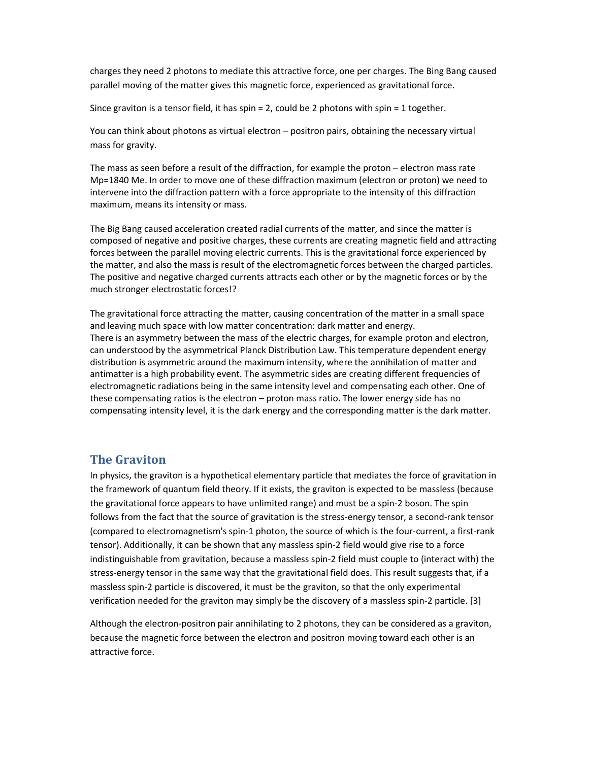charges they need 2 photons to mediate this attractive force, one per charges. The Bing Bang caused parallel moving of the matter gives this magnetic force, experienced as gravitational force.

Since graviton is a tensor field, it has spin = 2, could be 2 photons with spin = 1 together.

You can think about photons as virtual electron – positron pairs, obtaining the necessary virtual mass for gravity.

The mass as seen before a result of the diffraction, for example the proton – electron mass rate Mp=1840 Me. In order to move one of these diffraction maximum (electron or proton) we need to intervene into the diffraction pattern with a force appropriate to the intensity of this diffraction maximum, means its intensity or mass.

The Big Bang caused acceleration created radial currents of the matter, and since the matter is composed of negative and positive charges, these currents are creating magnetic field and attracting forces between the parallel moving electric currents. This is the gravitational force experienced by the matter, and also the mass is result of the electromagnetic forces between the charged particles. The positive and negative charged currents attracts each other or by the magnetic forces or by the much stronger electrostatic forces!?

The gravitational force attracting the matter, causing concentration of the matter in a small space and leaving much space with low matter concentration: dark matter and energy. There is an asymmetry between the mass of the electric charges, for example proton and electron, can understood by the asymmetrical Planck Distribution Law. This temperature dependent energy distribution is asymmetric around the maximum intensity, where the annihilation of matter and antimatter is a high probability event. The asymmetric sides are creating different frequencies of electromagnetic radiations being in the same intensity level and compensating each other. One of these compensating ratios is the electron – proton mass ratio. The lower energy side has no compensating intensity level, it is the dark energy and the corresponding matter is the dark matter.

#### **The Graviton**

In physics, the graviton is a hypothetical elementary particle that mediates the force of gravitation in the framework of quantum field theory. If it exists, the graviton is expected to be massless (because the gravitational force appears to have unlimited range) and must be a spin-2 boson. The spin follows from the fact that the source of gravitation is the stress-energy tensor, a second-rank tensor (compared to electromagnetism's spin-1 photon, the source of which is the four-current, a first-rank tensor). Additionally, it can be shown that any massless spin-2 field would give rise to a force indistinguishable from gravitation, because a massless spin-2 field must couple to (interact with) the stress-energy tensor in the same way that the gravitational field does. This result suggests that, if a massless spin-2 particle is discovered, it must be the graviton, so that the only experimental verification needed for the graviton may simply be the discovery of a massless spin-2 particle. [3]

Although the electron-positron pair annihilating to 2 photons, they can be considered as a graviton, because the magnetic force between the electron and positron moving toward each other is an attractive force.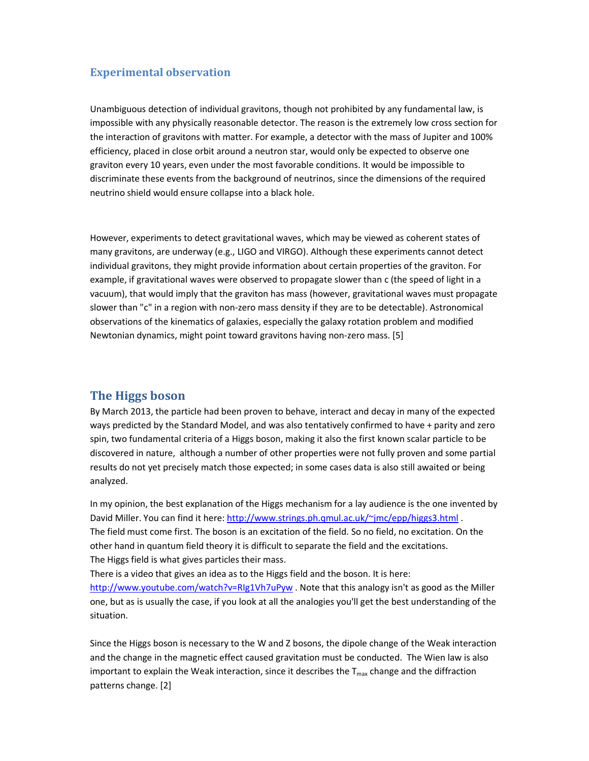#### **Experimental observation**

Unambiguous detection of individual gravitons, though not prohibited by any fundamental law, is impossible with any physically reasonable detector. The reason is the extremely low cross section for the interaction of gravitons with matter. For example, a detector with the mass of Jupiter and 100% efficiency, placed in close orbit around a neutron star, would only be expected to observe one graviton every 10 years, even under the most favorable conditions. It would be impossible to discriminate these events from the background of neutrinos, since the dimensions of the required neutrino shield would ensure collapse into a black hole.

However, experiments to detect gravitational waves, which may be viewed as coherent states of many gravitons, are underway (e.g., LIGO and VIRGO). Although these experiments cannot detect individual gravitons, they might provide information about certain properties of the graviton. For example, if gravitational waves were observed to propagate slower than c (the speed of light in a vacuum), that would imply that the graviton has mass (however, gravitational waves must propagate slower than "c" in a region with non-zero mass density if they are to be detectable). Astronomical observations of the kinematics of galaxies, especially the galaxy rotation problem and modified Newtonian dynamics, might point toward gravitons having non-zero mass. [5]

#### **The Higgs boson**

By March 2013, the particle had been proven to behave, interact and decay in many of the expected ways predicted by the Standard Model, and was also tentatively confirmed to have + parity and zero spin, two fundamental criteria of a Higgs boson, making it also the first known scalar particle to be discovered in nature, although a number of other properties were not fully proven and some partial results do not yet precisely match those expected; in some cases data is also still awaited or being analyzed.

In my opinion, the best explanation of the Higgs mechanism for a lay audience is the one invented by David Miller. You can find it here: http://www.strings.ph.qmul.ac.uk/~jmc/epp/higgs3.html. The field must come first. The boson is an excitation of the field. So no field, no excitation. On the other hand in quantum field theory it is difficult to separate the field and the excitations. The Higgs field is what gives particles their mass.

There is a video that gives an idea as to the Higgs field and the boson. It is here: http://www.youtube.com/watch?v=RIg1Vh7uPyw . Note that this analogy isn't as good as the Miller one, but as is usually the case, if you look at all the analogies you'll get the best understanding of the situation.

Since the Higgs boson is necessary to the W and Z bosons, the dipole change of the Weak interaction and the change in the magnetic effect caused gravitation must be conducted. The Wien law is also important to explain the Weak interaction, since it describes the  $T_{\text{max}}$  change and the diffraction patterns change. [2]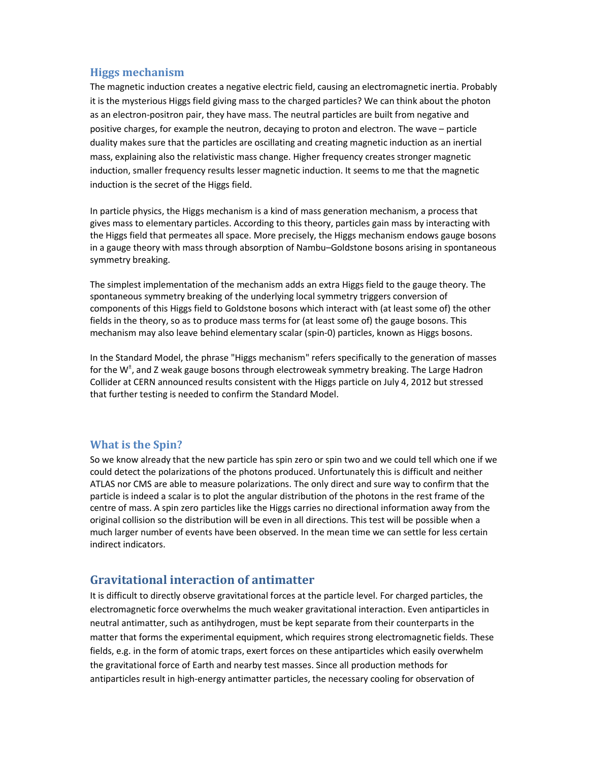## **Higgs mechanism**

The magnetic induction creates a negative electric field, causing an electromagnetic inertia. Probably it is the mysterious Higgs field giving mass to the charged particles? We can think about the photon as an electron-positron pair, they have mass. The neutral particles are built from negative and positive charges, for example the neutron, decaying to proton and electron. The wave – particle duality makes sure that the particles are oscillating and creating magnetic induction as an inertial mass, explaining also the relativistic mass change. Higher frequency creates stronger magnetic induction, smaller frequency results lesser magnetic induction. It seems to me that the magnetic induction is the secret of the Higgs field.

In particle physics, the Higgs mechanism is a kind of mass generation mechanism, a process that gives mass to elementary particles. According to this theory, particles gain mass by interacting with the Higgs field that permeates all space. More precisely, the Higgs mechanism endows gauge bosons in a gauge theory with mass through absorption of Nambu–Goldstone bosons arising in spontaneous symmetry breaking.

The simplest implementation of the mechanism adds an extra Higgs field to the gauge theory. The spontaneous symmetry breaking of the underlying local symmetry triggers conversion of components of this Higgs field to Goldstone bosons which interact with (at least some of) the other fields in the theory, so as to produce mass terms for (at least some of) the gauge bosons. This mechanism may also leave behind elementary scalar (spin-0) particles, known as Higgs bosons.

In the Standard Model, the phrase "Higgs mechanism" refers specifically to the generation of masses for the W<sup>±</sup>, and Z weak gauge bosons through electroweak symmetry breaking. The Large Hadron Collider at CERN announced results consistent with the Higgs particle on July 4, 2012 but stressed that further testing is needed to confirm the Standard Model.

#### **What is the Spin?**

So we know already that the new particle has spin zero or spin two and we could tell which one if we could detect the polarizations of the photons produced. Unfortunately this is difficult and neither ATLAS nor CMS are able to measure polarizations. The only direct and sure way to confirm that the particle is indeed a scalar is to plot the angular distribution of the photons in the rest frame of the centre of mass. A spin zero particles like the Higgs carries no directional information away from the original collision so the distribution will be even in all directions. This test will be possible when a much larger number of events have been observed. In the mean time we can settle for less certain indirect indicators.

## **Gravitational interaction of antimatter**

It is difficult to directly observe gravitational forces at the particle level. For charged particles, the electromagnetic force overwhelms the much weaker gravitational interaction. Even antiparticles in neutral antimatter, such as antihydrogen, must be kept separate from their counterparts in the matter that forms the experimental equipment, which requires strong electromagnetic fields. These fields, e.g. in the form of atomic traps, exert forces on these antiparticles which easily overwhelm the gravitational force of Earth and nearby test masses. Since all production methods for antiparticles result in high-energy antimatter particles, the necessary cooling for observation of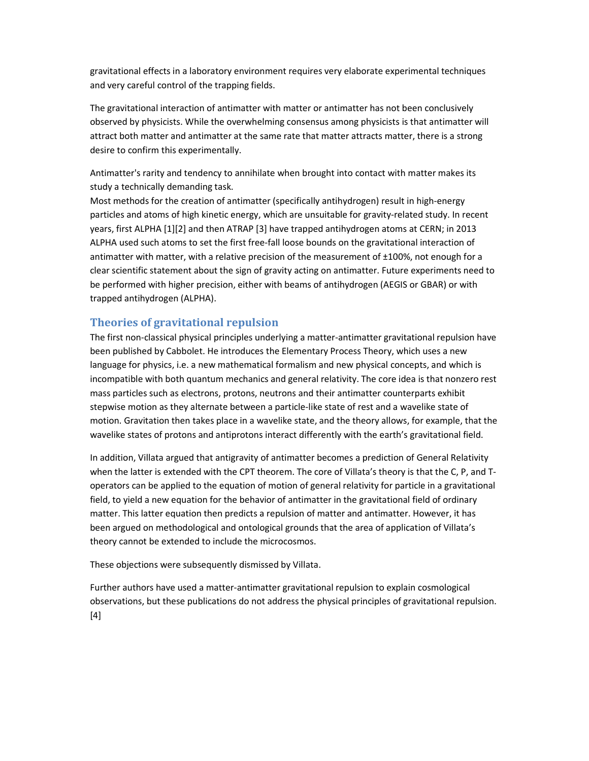gravitational effects in a laboratory environment requires very elaborate experimental techniques and very careful control of the trapping fields.

The gravitational interaction of antimatter with matter or antimatter has not been conclusively observed by physicists. While the overwhelming consensus among physicists is that antimatter will attract both matter and antimatter at the same rate that matter attracts matter, there is a strong desire to confirm this experimentally.

Antimatter's rarity and tendency to annihilate when brought into contact with matter makes its study a technically demanding task.

Most methods for the creation of antimatter (specifically antihydrogen) result in high-energy particles and atoms of high kinetic energy, which are unsuitable for gravity-related study. In recent years, first ALPHA [1][2] and then ATRAP [3] have trapped antihydrogen atoms at CERN; in 2013 ALPHA used such atoms to set the first free-fall loose bounds on the gravitational interaction of antimatter with matter, with a relative precision of the measurement of ±100%, not enough for a clear scientific statement about the sign of gravity acting on antimatter. Future experiments need to be performed with higher precision, either with beams of antihydrogen (AEGIS or GBAR) or with trapped antihydrogen (ALPHA).

#### **Theories of gravitational repulsion**

The first non-classical physical principles underlying a matter-antimatter gravitational repulsion have been published by Cabbolet. He introduces the Elementary Process Theory, which uses a new language for physics, i.e. a new mathematical formalism and new physical concepts, and which is incompatible with both quantum mechanics and general relativity. The core idea is that nonzero rest mass particles such as electrons, protons, neutrons and their antimatter counterparts exhibit stepwise motion as they alternate between a particle-like state of rest and a wavelike state of motion. Gravitation then takes place in a wavelike state, and the theory allows, for example, that the wavelike states of protons and antiprotons interact differently with the earth's gravitational field.

In addition, Villata argued that antigravity of antimatter becomes a prediction of General Relativity when the latter is extended with the CPT theorem. The core of Villata's theory is that the C, P, and Toperators can be applied to the equation of motion of general relativity for particle in a gravitational field, to yield a new equation for the behavior of antimatter in the gravitational field of ordinary matter. This latter equation then predicts a repulsion of matter and antimatter. However, it has been argued on methodological and ontological grounds that the area of application of Villata's theory cannot be extended to include the microcosmos.

These objections were subsequently dismissed by Villata.

Further authors have used a matter-antimatter gravitational repulsion to explain cosmological observations, but these publications do not address the physical principles of gravitational repulsion. [4]